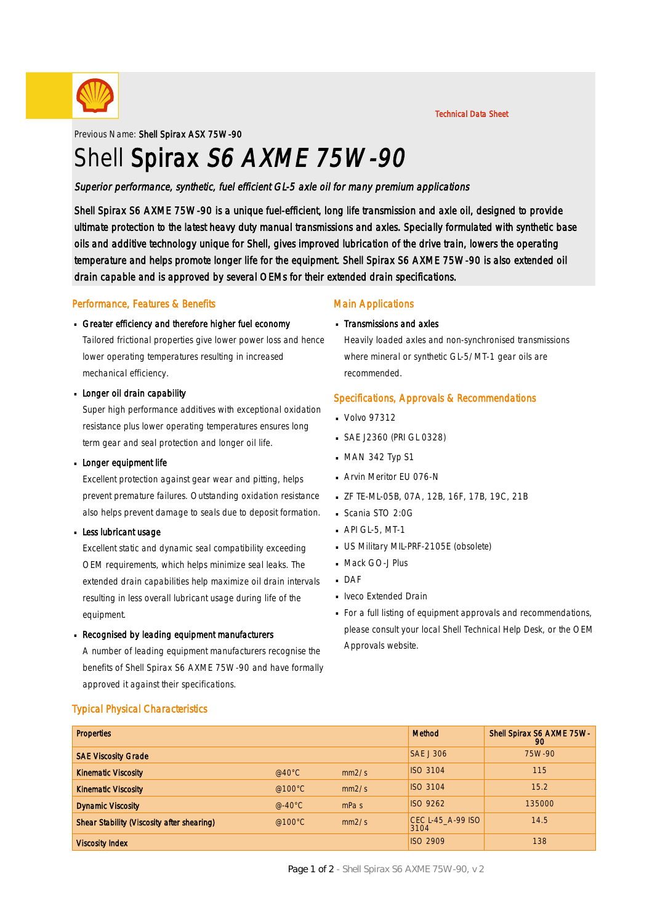

Previous Name: Shell Spirax ASX 75W-90

### Technical Data Sheet

# Shell Spirax S6 AXME 75W-90

#### Superior performance, synthetic, fuel efficient GL-5 axle oil for many premium applications

Shell Spirax S6 AXME 75W-90 is a unique fuel-efficient, long life transmission and axle oil, designed to provide ultimate protection to the latest heavy duty manual transmissions and axles. Specially formulated with synthetic base oils and additive technology unique for Shell, gives improved lubrication of the drive train, lowers the operating temperature and helps promote longer life for the equipment. Shell Spirax S6 AXME 75W-90 is also extended oil drain capable and is approved by several OEMs for their extended drain specifications.

#### Performance, Features & Benefits

# Greater efficiency and therefore higher fuel economy ·

Tailored frictional properties give lower power loss and hence lower operating temperatures resulting in increased mechanical efficiency.

# **Longer oil drain capability**

Super high performance additives with exceptional oxidation resistance plus lower operating temperatures ensures long term gear and seal protection and longer oil life.

# **Longer equipment life**

Excellent protection against gear wear and pitting, helps prevent premature failures. Outstanding oxidation resistance also helps prevent damage to seals due to deposit formation.

# Less lubricant usage

Excellent static and dynamic seal compatibility exceeding OEM requirements, which helps minimize seal leaks. The extended drain capabilities help maximize oil drain intervals resulting in less overall lubricant usage during life of the equipment.

# Recognised by leading equipment manufacturers ·

A number of leading equipment manufacturers recognise the benefits of Shell Spirax S6 AXME 75W-90 and have formally approved it against their specifications.

#### Main Applications

#### Transmissions and axles ·

Heavily loaded axles and non-synchronised transmissions where mineral or synthetic GL-5/MT-1 gear oils are recommended.

### Specifications, Approvals & Recommendations

- **Volvo 97312**
- SAE J2360 (PRI GL 0328) ·
- $MAN$  342 Typ S1
- Arvin Meritor EU 076-N ·
- ZF TE-ML-05B, 07A, 12B, 16F, 17B, 19C, 21B ·
- Scania STO 2:0G
- $\blacksquare$  API GL-5, MT-1
- US Military MIL-PRF-2105E (obsolete) ·
- **Mack GO-J Plus**
- **DAF**
- **Iveco Extended Drain**
- For a full listing of equipment approvals and recommendations, · please consult your local Shell Technical Help Desk, or the OEM Approvals website.

|  | <b>Typical Physical Characteristics</b> |
|--|-----------------------------------------|
|  |                                         |

| <b>Properties</b>                                 |                   |                  | <b>Method</b>                    | Shell Spirax S6 AXME 75W-<br>90 |
|---------------------------------------------------|-------------------|------------------|----------------------------------|---------------------------------|
| <b>SAE Viscosity Grade</b>                        |                   |                  | <b>SAE J 306</b>                 | 75W-90                          |
| <b>Kinematic Viscosity</b>                        | @40 $^{\circ}$ C  | mm2/s            | <b>ISO 3104</b>                  | 115                             |
| <b>Kinematic Viscosity</b>                        | @100 $\degree$ C  | mm2/s            | <b>ISO 3104</b>                  | 15.2                            |
| <b>Dynamic Viscosity</b>                          | @-40 $^{\circ}$ C | mPa <sub>S</sub> | <b>ISO 9262</b>                  | 135000                          |
| <b>Shear Stability (Viscosity after shearing)</b> | @100 $\degree$ C  | mm2/s            | <b>CEC L-45 A-99 ISO</b><br>3104 | 14.5                            |
| <b>Viscosity Index</b>                            |                   |                  | <b>ISO 2909</b>                  | 138                             |